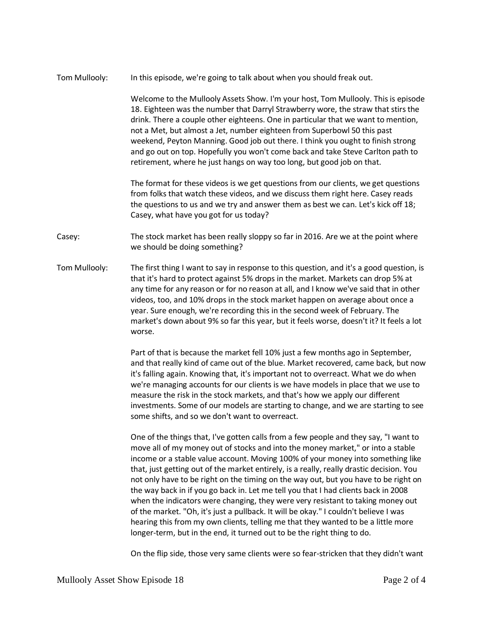Tom Mullooly: In this episode, we're going to talk about when you should freak out.

Welcome to the Mullooly Assets Show. I'm your host, Tom Mullooly. This is episode 18. Eighteen was the number that Darryl Strawberry wore, the straw that stirs the drink. There a couple other eighteens. One in particular that we want to mention, not a Met, but almost a Jet, number eighteen from Superbowl 50 this past weekend, Peyton Manning. Good job out there. I think you ought to finish strong and go out on top. Hopefully you won't come back and take Steve Carlton path to retirement, where he just hangs on way too long, but good job on that.

The format for these videos is we get questions from our clients, we get questions from folks that watch these videos, and we discuss them right here. Casey reads the questions to us and we try and answer them as best we can. Let's kick off 18; Casey, what have you got for us today?

Casey: The stock market has been really sloppy so far in 2016. Are we at the point where we should be doing something?

Tom Mullooly: The first thing I want to say in response to this question, and it's a good question, is that it's hard to protect against 5% drops in the market. Markets can drop 5% at any time for any reason or for no reason at all, and I know we've said that in other videos, too, and 10% drops in the stock market happen on average about once a year. Sure enough, we're recording this in the second week of February. The market's down about 9% so far this year, but it feels worse, doesn't it? It feels a lot worse.

> Part of that is because the market fell 10% just a few months ago in September, and that really kind of came out of the blue. Market recovered, came back, but now it's falling again. Knowing that, it's important not to overreact. What we do when we're managing accounts for our clients is we have models in place that we use to measure the risk in the stock markets, and that's how we apply our different investments. Some of our models are starting to change, and we are starting to see some shifts, and so we don't want to overreact.

One of the things that, I've gotten calls from a few people and they say, "I want to move all of my money out of stocks and into the money market," or into a stable income or a stable value account. Moving 100% of your money into something like that, just getting out of the market entirely, is a really, really drastic decision. You not only have to be right on the timing on the way out, but you have to be right on the way back in if you go back in. Let me tell you that I had clients back in 2008 when the indicators were changing, they were very resistant to taking money out of the market. "Oh, it's just a pullback. It will be okay." I couldn't believe I was hearing this from my own clients, telling me that they wanted to be a little more longer-term, but in the end, it turned out to be the right thing to do.

On the flip side, those very same clients were so fear-stricken that they didn't want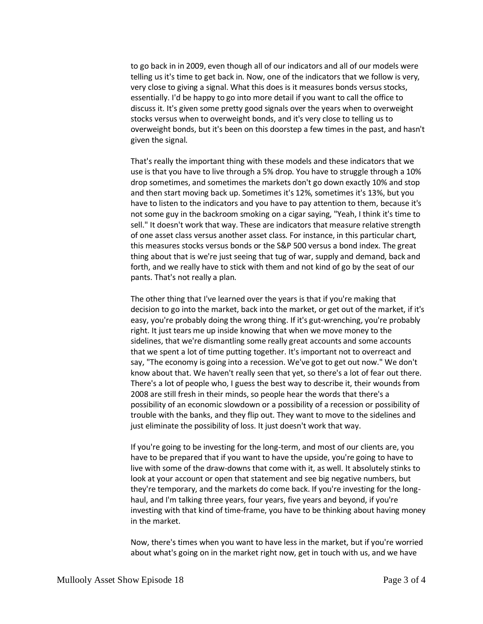to go back in in 2009, even though all of our indicators and all of our models were telling us it's time to get back in. Now, one of the indicators that we follow is very, very close to giving a signal. What this does is it measures bonds versus stocks, essentially. I'd be happy to go into more detail if you want to call the office to discuss it. It's given some pretty good signals over the years when to overweight stocks versus when to overweight bonds, and it's very close to telling us to overweight bonds, but it's been on this doorstep a few times in the past, and hasn't given the signal.

That's really the important thing with these models and these indicators that we use is that you have to live through a 5% drop. You have to struggle through a 10% drop sometimes, and sometimes the markets don't go down exactly 10% and stop and then start moving back up. Sometimes it's 12%, sometimes it's 13%, but you have to listen to the indicators and you have to pay attention to them, because it's not some guy in the backroom smoking on a cigar saying, "Yeah, I think it's time to sell." It doesn't work that way. These are indicators that measure relative strength of one asset class versus another asset class. For instance, in this particular chart, this measures stocks versus bonds or the S&P 500 versus a bond index. The great thing about that is we're just seeing that tug of war, supply and demand, back and forth, and we really have to stick with them and not kind of go by the seat of our pants. That's not really a plan.

The other thing that I've learned over the years is that if you're making that decision to go into the market, back into the market, or get out of the market, if it's easy, you're probably doing the wrong thing. If it's gut-wrenching, you're probably right. It just tears me up inside knowing that when we move money to the sidelines, that we're dismantling some really great accounts and some accounts that we spent a lot of time putting together. It's important not to overreact and say, "The economy is going into a recession. We've got to get out now." We don't know about that. We haven't really seen that yet, so there's a lot of fear out there. There's a lot of people who, I guess the best way to describe it, their wounds from 2008 are still fresh in their minds, so people hear the words that there's a possibility of an economic slowdown or a possibility of a recession or possibility of trouble with the banks, and they flip out. They want to move to the sidelines and just eliminate the possibility of loss. It just doesn't work that way.

If you're going to be investing for the long-term, and most of our clients are, you have to be prepared that if you want to have the upside, you're going to have to live with some of the draw-downs that come with it, as well. It absolutely stinks to look at your account or open that statement and see big negative numbers, but they're temporary, and the markets do come back. If you're investing for the longhaul, and I'm talking three years, four years, five years and beyond, if you're investing with that kind of time-frame, you have to be thinking about having money in the market.

Now, there's times when you want to have less in the market, but if you're worried about what's going on in the market right now, get in touch with us, and we have